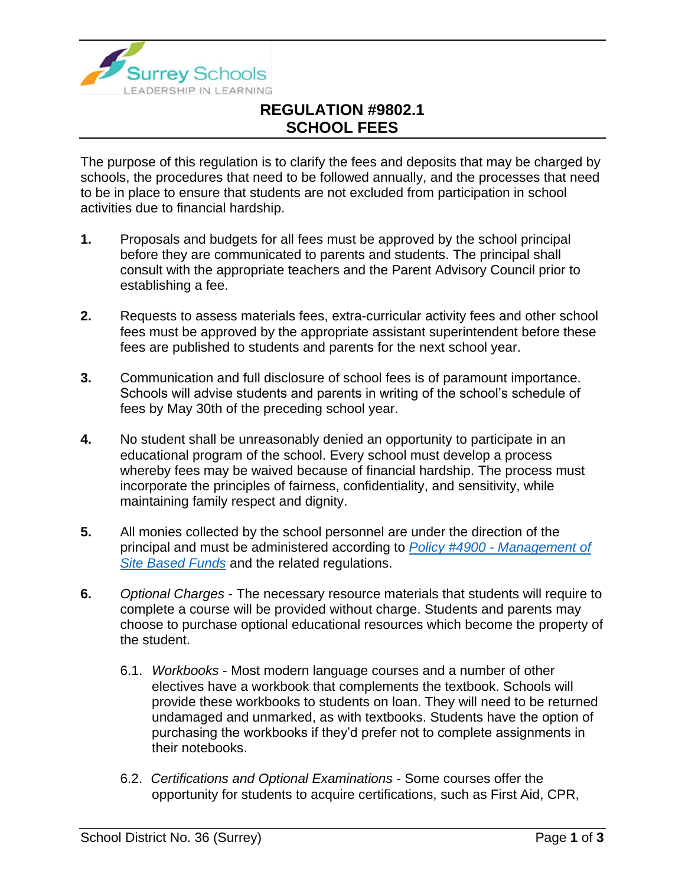

## **REGULATION #9802.1 SCHOOL FEES**

The purpose of this regulation is to clarify the fees and deposits that may be charged by schools, the procedures that need to be followed annually, and the processes that need to be in place to ensure that students are not excluded from participation in school activities due to financial hardship.

- **1.** Proposals and budgets for all fees must be approved by the school principal before they are communicated to parents and students. The principal shall consult with the appropriate teachers and the Parent Advisory Council prior to establishing a fee.
- **2.** Requests to assess materials fees, extra-curricular activity fees and other school fees must be approved by the appropriate assistant superintendent before these fees are published to students and parents for the next school year.
- **3.** Communication and full disclosure of school fees is of paramount importance. Schools will advise students and parents in writing of the school's schedule of fees by May 30th of the preceding school year.
- **4.** No student shall be unreasonably denied an opportunity to participate in an educational program of the school. Every school must develop a process whereby fees may be waived because of financial hardship. The process must incorporate the principles of fairness, confidentiality, and sensitivity, while maintaining family respect and dignity.
- **5.** All monies collected by the school personnel are under the direction of the principal and must be administered according to *Policy #4900 - [Management of](https://www.surreyschools.ca/departments/SECT/PoliciesRegulations/section_4000/Documents/4900%20Policy.pdf)  [Site Based Funds](https://www.surreyschools.ca/departments/SECT/PoliciesRegulations/section_4000/Documents/4900%20Policy.pdf)* and the related regulations.
- **6.** *Optional Charges* The necessary resource materials that students will require to complete a course will be provided without charge. Students and parents may choose to purchase optional educational resources which become the property of the student.
	- 6.1. *Workbooks* Most modern language courses and a number of other electives have a workbook that complements the textbook. Schools will provide these workbooks to students on loan. They will need to be returned undamaged and unmarked, as with textbooks. Students have the option of purchasing the workbooks if they'd prefer not to complete assignments in their notebooks.
	- 6.2. *Certifications and Optional Examinations* Some courses offer the opportunity for students to acquire certifications, such as First Aid, CPR,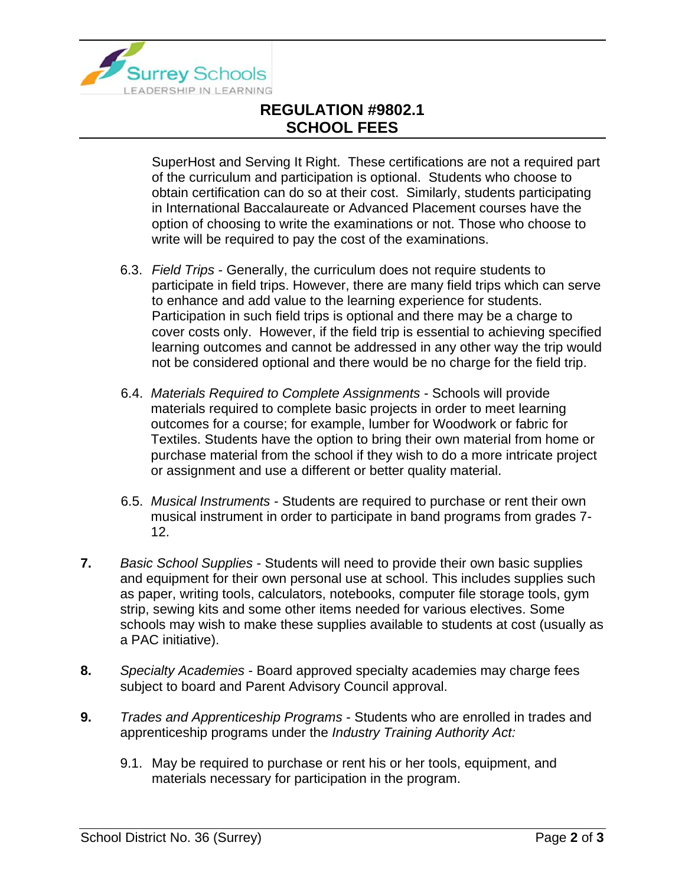

## **REGULATION #9802.1 SCHOOL FEES**

SuperHost and Serving It Right. These certifications are not a required part of the curriculum and participation is optional. Students who choose to obtain certification can do so at their cost. Similarly, students participating in International Baccalaureate or Advanced Placement courses have the option of choosing to write the examinations or not. Those who choose to write will be required to pay the cost of the examinations.

- 6.3. *Field Trips* Generally, the curriculum does not require students to participate in field trips. However, there are many field trips which can serve to enhance and add value to the learning experience for students. Participation in such field trips is optional and there may be a charge to cover costs only. However, if the field trip is essential to achieving specified learning outcomes and cannot be addressed in any other way the trip would not be considered optional and there would be no charge for the field trip.
- 6.4. *Materials Required to Complete Assignments* Schools will provide materials required to complete basic projects in order to meet learning outcomes for a course; for example, lumber for Woodwork or fabric for Textiles. Students have the option to bring their own material from home or purchase material from the school if they wish to do a more intricate project or assignment and use a different or better quality material.
- 6.5. *Musical Instruments* Students are required to purchase or rent their own musical instrument in order to participate in band programs from grades 7- 12.
- **7.** *Basic School Supplies* Students will need to provide their own basic supplies and equipment for their own personal use at school. This includes supplies such as paper, writing tools, calculators, notebooks, computer file storage tools, gym strip, sewing kits and some other items needed for various electives. Some schools may wish to make these supplies available to students at cost (usually as a PAC initiative).
- **8.** *Specialty Academies* Board approved specialty academies may charge fees subject to board and Parent Advisory Council approval.
- **9.** *Trades and Apprenticeship Programs* Students who are enrolled in trades and apprenticeship programs under the *Industry Training Authority Act:*
	- 9.1. May be required to purchase or rent his or her tools, equipment, and materials necessary for participation in the program.